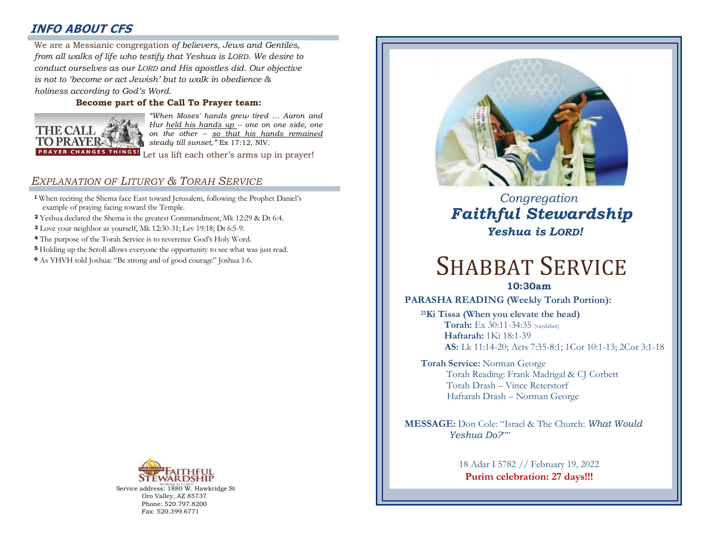# **INFO ABOUT CFS**

: *from all walks of life who testify that Yeshua is LORD. We desire to*  We are a Messianic congregation *of believers, Jews and Gentiles, conduct ourselves as our LORD and His apostles did. Our objective is not to 'become or act Jewish' but to walk in obedience & holiness according to God's Word.* 

# **Become part of the Call To Prayer team:**



*"When Moses' hands grew tired … Aaron and Hur held his hands up -- one on one side, one on the other -- so that his hands remained steady till sunset,"* Ex 17:12, NIV.

Let us lift each other's arms up in prayer!

# *EXPLANATION OF LITURGY & TORAH SERVICE*

- **<sup>1</sup>** When reciting the Shema face East toward Jerusalem, following the Prophet Daniel's example of praying facing toward the Temple.
- **<sup>2</sup>** Yeshua declared the Shema is the greatest Commandment, Mk 12:29 & Dt 6:4.
- **<sup>3</sup>** Love your neighbor as yourself, Mk 12:30-31; Lev 19:18; Dt 6:5-9.
- **<sup>4</sup>** The purpose of the Torah Service is to reverence God's Holy Word.
- **<sup>5</sup>** Holding up the Scroll allows everyone the opportunity to see what was just read.
- **<sup>6</sup>**As YHVH told Joshua: "Be strong and of good courage" Joshua 1:6.



Service address: 1880 W. Hawkridge St Oro Valley, AZ 85737 Phone: 520.797.8200 Fax: 520.399.6771



 *Congregation Faithful Stewardship Yeshua is LORD!*

# SHABBAT SERVICE

**10:30am**

# **PARASHA READING (Weekly Torah Portion):**

**<sup>21</sup>Ki Tissa (When you elevate the head) Torah:** Ex 30:11-34:35 (vaydaber)  **Haftarah:** 1Ki 18:1-39 **AS:** Lk 11:14-20; Acts 7:35-8:1; 1Cor 10:1-13; 2Cor 3:1-18

**Torah Service:** Norman George Torah Reading: Frank Madrigal & CJ Corbett Torah Drash – Vince Reterstorf Haftarah Drash – Norman George

**MESSAGE:** Don Cole: "Israel & The Church: *What Would Yeshua Do?*""

> 18 Adar I 5782 // February 19, 2022 **Purim celebration: 27 days!!!**